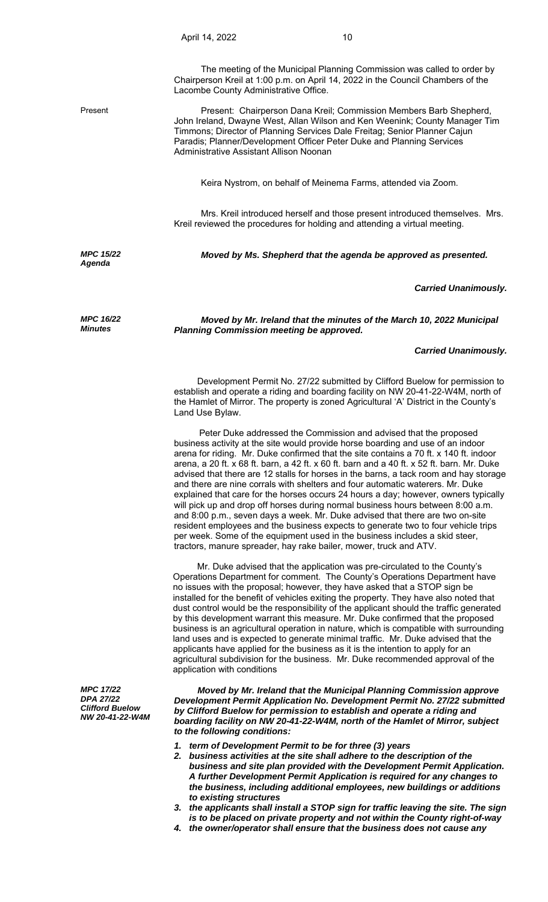*MPC 15/22 Agenda* 

*MPC 16/22 Minutes*

Chairperson Kreil at 1:00 p.m. on April 14, 2022 in the Council Chambers of the Lacombe County Administrative Office.

Present Present: Chairperson Dana Kreil; Commission Members Barb Shepherd, John Ireland, Dwayne West, Allan Wilson and Ken Weenink; County Manager Tim Timmons; Director of Planning Services Dale Freitag; Senior Planner Cajun Paradis; Planner/Development Officer Peter Duke and Planning Services Administrative Assistant Allison Noonan

Keira Nystrom, on behalf of Meinema Farms, attended via Zoom.

Mrs. Kreil introduced herself and those present introduced themselves. Mrs. Kreil reviewed the procedures for holding and attending a virtual meeting.

*Moved by Ms. Shepherd that the agenda be approved as presented.* 

## *Carried Unanimously.*

*Moved by Mr. Ireland that the minutes of the March 10, 2022 Municipal Planning Commission meeting be approved.* 

## *Carried Unanimously.*

 Development Permit No. 27/22 submitted by Clifford Buelow for permission to establish and operate a riding and boarding facility on NW 20-41-22-W4M, north of the Hamlet of Mirror. The property is zoned Agricultural 'A' District in the County's Land Use Bylaw.

 Peter Duke addressed the Commission and advised that the proposed business activity at the site would provide horse boarding and use of an indoor arena for riding. Mr. Duke confirmed that the site contains a 70 ft. x 140 ft. indoor arena, a 20 ft. x 68 ft. barn, a 42 ft. x 60 ft. barn and a 40 ft. x 52 ft. barn. Mr. Duke advised that there are 12 stalls for horses in the barns, a tack room and hay storage and there are nine corrals with shelters and four automatic waterers. Mr. Duke explained that care for the horses occurs 24 hours a day; however, owners typically will pick up and drop off horses during normal business hours between 8:00 a.m. and 8:00 p.m., seven days a week. Mr. Duke advised that there are two on-site resident employees and the business expects to generate two to four vehicle trips per week. Some of the equipment used in the business includes a skid steer, tractors, manure spreader, hay rake bailer, mower, truck and ATV.

 Mr. Duke advised that the application was pre-circulated to the County's Operations Department for comment. The County's Operations Department have no issues with the proposal; however, they have asked that a STOP sign be installed for the benefit of vehicles exiting the property. They have also noted that dust control would be the responsibility of the applicant should the traffic generated by this development warrant this measure. Mr. Duke confirmed that the proposed business is an agricultural operation in nature, which is compatible with surrounding land uses and is expected to generate minimal traffic. Mr. Duke advised that the applicants have applied for the business as it is the intention to apply for an agricultural subdivision for the business. Mr. Duke recommended approval of the application with conditions

*MPC 17/22 DPA 27/22 Clifford Buelow NW 20-41-22-W4M* 

 *Moved by Mr. Ireland that the Municipal Planning Commission approve Development Permit Application No. Development Permit No. 27/22 submitted by Clifford Buelow for permission to establish and operate a riding and boarding facility on NW 20-41-22-W4M, north of the Hamlet of Mirror, subject to the following conditions:* 

- *1. term of Development Permit to be for three (3) years*
- *2. business activities at the site shall adhere to the description of the business and site plan provided with the Development Permit Application. A further Development Permit Application is required for any changes to the business, including additional employees, new buildings or additions to existing structures*
- *3. the applicants shall install a STOP sign for traffic leaving the site. The sign is to be placed on private property and not within the County right-of-way*
- *4. the owner/operator shall ensure that the business does not cause any*

The meeting of the Municipal Planning Commission was called to order by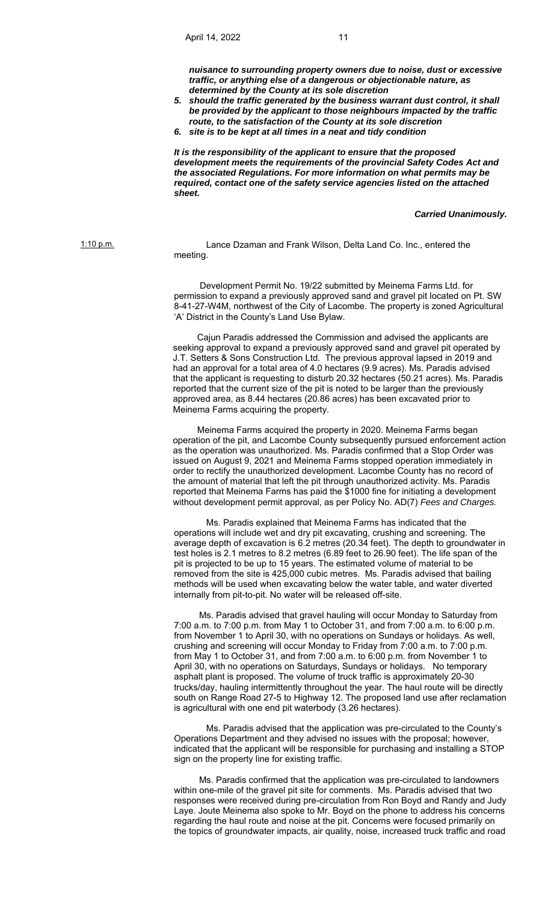*nuisance to surrounding property owners due to noise, dust or excessive traffic, or anything else of a dangerous or objectionable nature, as determined by the County at its sole discretion* 

- *5. should the traffic generated by the business warrant dust control, it shall be provided by the applicant to those neighbours impacted by the traffic route, to the satisfaction of the County at its sole discretion*
- *6. site is to be kept at all times in a neat and tidy condition*

*It is the responsibility of the applicant to ensure that the proposed development meets the requirements of the provincial Safety Codes Act and the associated Regulations. For more information on what permits may be required, contact one of the safety service agencies listed on the attached sheet.* 

*Carried Unanimously.*

1:10 p.m. Lance Dzaman and Frank Wilson, Delta Land Co. Inc., entered the meeting.

> Development Permit No. 19/22 submitted by Meinema Farms Ltd. for permission to expand a previously approved sand and gravel pit located on Pt. SW 8-41-27-W4M, northwest of the City of Lacombe. The property is zoned Agricultural 'A' District in the County's Land Use Bylaw.

> Cajun Paradis addressed the Commission and advised the applicants are seeking approval to expand a previously approved sand and gravel pit operated by J.T. Setters & Sons Construction Ltd. The previous approval lapsed in 2019 and had an approval for a total area of 4.0 hectares (9.9 acres). Ms. Paradis advised that the applicant is requesting to disturb 20.32 hectares (50.21 acres). Ms. Paradis reported that the current size of the pit is noted to be larger than the previously approved area, as 8.44 hectares (20.86 acres) has been excavated prior to Meinema Farms acquiring the property.

> Meinema Farms acquired the property in 2020. Meinema Farms began operation of the pit, and Lacombe County subsequently pursued enforcement action as the operation was unauthorized. Ms. Paradis confirmed that a Stop Order was issued on August 9, 2021 and Meinema Farms stopped operation immediately in order to rectify the unauthorized development. Lacombe County has no record of the amount of material that left the pit through unauthorized activity. Ms. Paradis reported that Meinema Farms has paid the \$1000 fine for initiating a development without development permit approval, as per Policy No. AD(7) *Fees and Charges.*

> Ms. Paradis explained that Meinema Farms has indicated that the operations will include wet and dry pit excavating, crushing and screening. The average depth of excavation is 6.2 metres (20.34 feet). The depth to groundwater in test holes is 2.1 metres to 8.2 metres (6.89 feet to 26.90 feet). The life span of the pit is projected to be up to 15 years. The estimated volume of material to be removed from the site is 425,000 cubic metres. Ms. Paradis advised that bailing methods will be used when excavating below the water table, and water diverted internally from pit-to-pit. No water will be released off-site.

> Ms. Paradis advised that gravel hauling will occur Monday to Saturday from 7:00 a.m. to 7:00 p.m. from May 1 to October 31, and from 7:00 a.m. to 6:00 p.m. from November 1 to April 30, with no operations on Sundays or holidays. As well, crushing and screening will occur Monday to Friday from 7:00 a.m. to 7:00 p.m. from May 1 to October 31, and from 7:00 a.m. to 6:00 p.m. from November 1 to April 30, with no operations on Saturdays, Sundays or holidays. No temporary asphalt plant is proposed. The volume of truck traffic is approximately 20-30 trucks/day, hauling intermittently throughout the year. The haul route will be directly south on Range Road 27-5 to Highway 12. The proposed land use after reclamation is agricultural with one end pit waterbody (3.26 hectares).

 Ms. Paradis advised that the application was pre-circulated to the County's Operations Department and they advised no issues with the proposal; however, indicated that the applicant will be responsible for purchasing and installing a STOP sign on the property line for existing traffic.

Ms. Paradis confirmed that the application was pre-circulated to landowners within one-mile of the gravel pit site for comments. Ms. Paradis advised that two responses were received during pre-circulation from Ron Boyd and Randy and Judy Laye. Joute Meinema also spoke to Mr. Boyd on the phone to address his concerns regarding the haul route and noise at the pit. Concerns were focused primarily on the topics of groundwater impacts, air quality, noise, increased truck traffic and road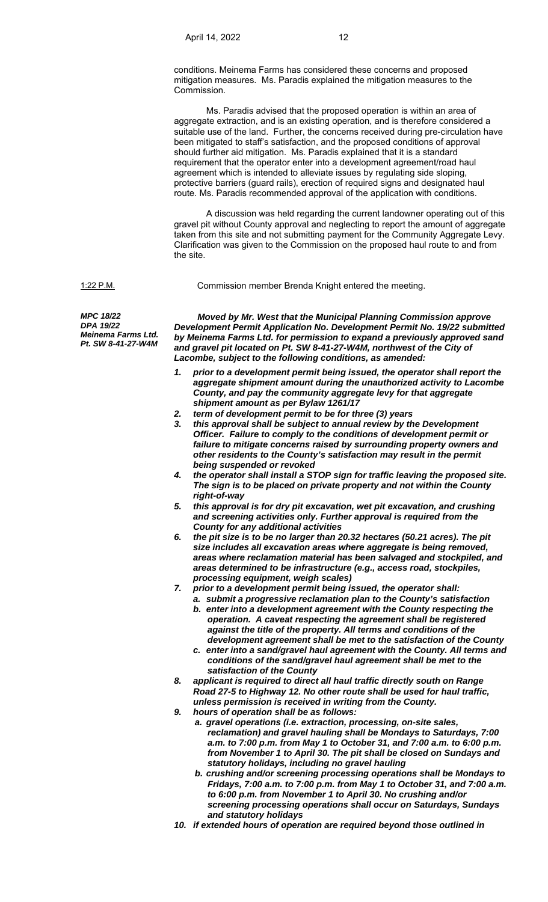conditions. Meinema Farms has considered these concerns and proposed mitigation measures. Ms. Paradis explained the mitigation measures to the **Commission** 

 Ms. Paradis advised that the proposed operation is within an area of aggregate extraction, and is an existing operation, and is therefore considered a suitable use of the land. Further, the concerns received during pre-circulation have been mitigated to staff's satisfaction, and the proposed conditions of approval should further aid mitigation. Ms. Paradis explained that it is a standard requirement that the operator enter into a development agreement/road haul agreement which is intended to alleviate issues by regulating side sloping, protective barriers (guard rails), erection of required signs and designated haul route. Ms. Paradis recommended approval of the application with conditions.

 A discussion was held regarding the current landowner operating out of this gravel pit without County approval and neglecting to report the amount of aggregate taken from this site and not submitting payment for the Community Aggregate Levy. Clarification was given to the Commission on the proposed haul route to and from the site.

1:22 P.M. Commission member Brenda Knight entered the meeting.

*MPC 18/22 DPA 19/22 Meinema Farms Ltd. Pt. SW 8-41-27-W4M* 

 *Moved by Mr. West that the Municipal Planning Commission approve Development Permit Application No. Development Permit No. 19/22 submitted by Meinema Farms Ltd. for permission to expand a previously approved sand and gravel pit located on Pt. SW 8-41-27-W4M, northwest of the City of Lacombe, subject to the following conditions, as amended:* 

- *1. prior to a development permit being issued, the operator shall report the aggregate shipment amount during the unauthorized activity to Lacombe County, and pay the community aggregate levy for that aggregate shipment amount as per Bylaw 1261/17*
- *2. term of development permit to be for three (3) years*
- *3. this approval shall be subject to annual review by the Development Officer. Failure to comply to the conditions of development permit or failure to mitigate concerns raised by surrounding property owners and other residents to the County's satisfaction may result in the permit being suspended or revoked*
- *4. the operator shall install a STOP sign for traffic leaving the proposed site. The sign is to be placed on private property and not within the County right-of-way*
- *5. this approval is for dry pit excavation, wet pit excavation, and crushing and screening activities only. Further approval is required from the County for any additional activities*
- *6. the pit size is to be no larger than 20.32 hectares (50.21 acres). The pit size includes all excavation areas where aggregate is being removed, areas where reclamation material has been salvaged and stockpiled, and areas determined to be infrastructure (e.g., access road, stockpiles, processing equipment, weigh scales)*
- *7. prior to a development permit being issued, the operator shall:* 
	- *a. submit a progressive reclamation plan to the County's satisfaction*
	- *b. enter into a development agreement with the County respecting the operation. A caveat respecting the agreement shall be registered against the title of the property. All terms and conditions of the development agreement shall be met to the satisfaction of the County*
	- *c. enter into a sand/gravel haul agreement with the County. All terms and conditions of the sand/gravel haul agreement shall be met to the satisfaction of the County*
- *8. applicant is required to direct all haul traffic directly south on Range Road 27-5 to Highway 12. No other route shall be used for haul traffic, unless permission is received in writing from the County.*
- *9. hours of operation shall be as follows:* 
	- *a. gravel operations (i.e. extraction, processing, on-site sales, reclamation) and gravel hauling shall be Mondays to Saturdays, 7:00 a.m. to 7:00 p.m. from May 1 to October 31, and 7:00 a.m. to 6:00 p.m. from November 1 to April 30. The pit shall be closed on Sundays and statutory holidays, including no gravel hauling*
	- *b. crushing and/or screening processing operations shall be Mondays to Fridays, 7:00 a.m. to 7:00 p.m. from May 1 to October 31, and 7:00 a.m. to 6:00 p.m. from November 1 to April 30. No crushing and/or screening processing operations shall occur on Saturdays, Sundays and statutory holidays*
- *10. if extended hours of operation are required beyond those outlined in*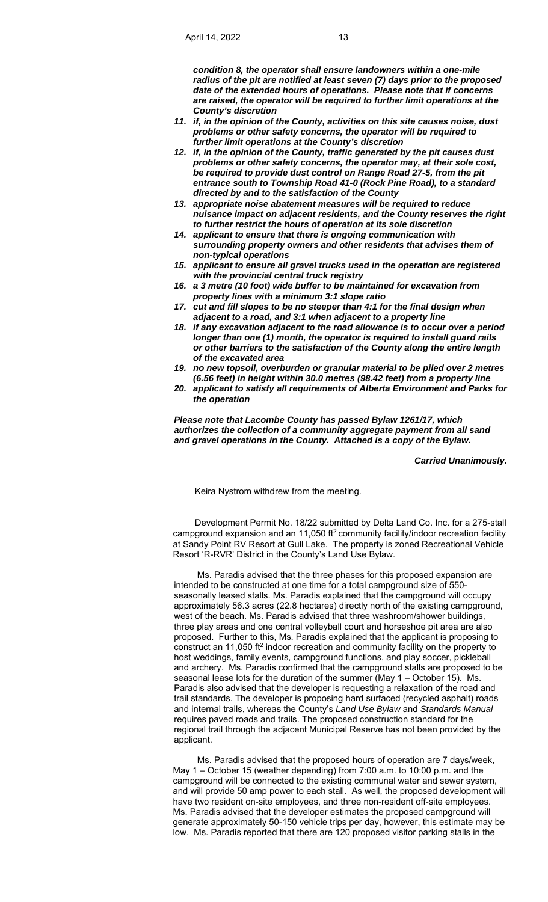*condition 8, the operator shall ensure landowners within a one-mile radius of the pit are notified at least seven (7) days prior to the proposed date of the extended hours of operations. Please note that if concerns are raised, the operator will be required to further limit operations at the County's discretion* 

- *11. if, in the opinion of the County, activities on this site causes noise, dust problems or other safety concerns, the operator will be required to further limit operations at the County's discretion*
- *12. if, in the opinion of the County, traffic generated by the pit causes dust problems or other safety concerns, the operator may, at their sole cost, be required to provide dust control on Range Road 27-5, from the pit entrance south to Township Road 41-0 (Rock Pine Road), to a standard directed by and to the satisfaction of the County*
- *13. appropriate noise abatement measures will be required to reduce nuisance impact on adjacent residents, and the County reserves the right to further restrict the hours of operation at its sole discretion*
- *14. applicant to ensure that there is ongoing communication with surrounding property owners and other residents that advises them of non-typical operations*
- *15. applicant to ensure all gravel trucks used in the operation are registered with the provincial central truck registry*
- *16. a 3 metre (10 foot) wide buffer to be maintained for excavation from property lines with a minimum 3:1 slope ratio*
- *17. cut and fill slopes to be no steeper than 4:1 for the final design when adjacent to a road, and 3:1 when adjacent to a property line*
- *18. if any excavation adjacent to the road allowance is to occur over a period longer than one (1) month, the operator is required to install guard rails or other barriers to the satisfaction of the County along the entire length of the excavated area*
- *19. no new topsoil, overburden or granular material to be piled over 2 metres (6.56 feet) in height within 30.0 metres (98.42 feet) from a property line*
- *20. applicant to satisfy all requirements of Alberta Environment and Parks for the operation*

*Please note that Lacombe County has passed Bylaw 1261/17, which authorizes the collection of a community aggregate payment from all sand and gravel operations in the County. Attached is a copy of the Bylaw.*

## *Carried Unanimously.*

Keira Nystrom withdrew from the meeting.

Development Permit No. 18/22 submitted by Delta Land Co. Inc. for a 275-stall campground expansion and an 11,050 ft<sup>2</sup> community facility/indoor recreation facility at Sandy Point RV Resort at Gull Lake. The property is zoned Recreational Vehicle Resort 'R-RVR' District in the County's Land Use Bylaw.

 Ms. Paradis advised that the three phases for this proposed expansion are intended to be constructed at one time for a total campground size of 550 seasonally leased stalls. Ms. Paradis explained that the campground will occupy approximately 56.3 acres (22.8 hectares) directly north of the existing campground, west of the beach. Ms. Paradis advised that three washroom/shower buildings, three play areas and one central volleyball court and horseshoe pit area are also proposed. Further to this, Ms. Paradis explained that the applicant is proposing to construct an 11,050 ft<sup>2</sup> indoor recreation and community facility on the property to host weddings, family events, campground functions, and play soccer, pickleball and archery. Ms. Paradis confirmed that the campground stalls are proposed to be seasonal lease lots for the duration of the summer (May 1 – October 15). Ms. Paradis also advised that the developer is requesting a relaxation of the road and trail standards. The developer is proposing hard surfaced (recycled asphalt) roads and internal trails, whereas the County's *Land Use Bylaw* and *Standards Manual*  requires paved roads and trails. The proposed construction standard for the regional trail through the adjacent Municipal Reserve has not been provided by the applicant.

 Ms. Paradis advised that the proposed hours of operation are 7 days/week, May 1 – October 15 (weather depending) from 7:00 a.m. to 10:00 p.m. and the campground will be connected to the existing communal water and sewer system, and will provide 50 amp power to each stall. As well, the proposed development will have two resident on-site employees, and three non-resident off-site employees. Ms. Paradis advised that the developer estimates the proposed campground will generate approximately 50-150 vehicle trips per day, however, this estimate may be low. Ms. Paradis reported that there are 120 proposed visitor parking stalls in the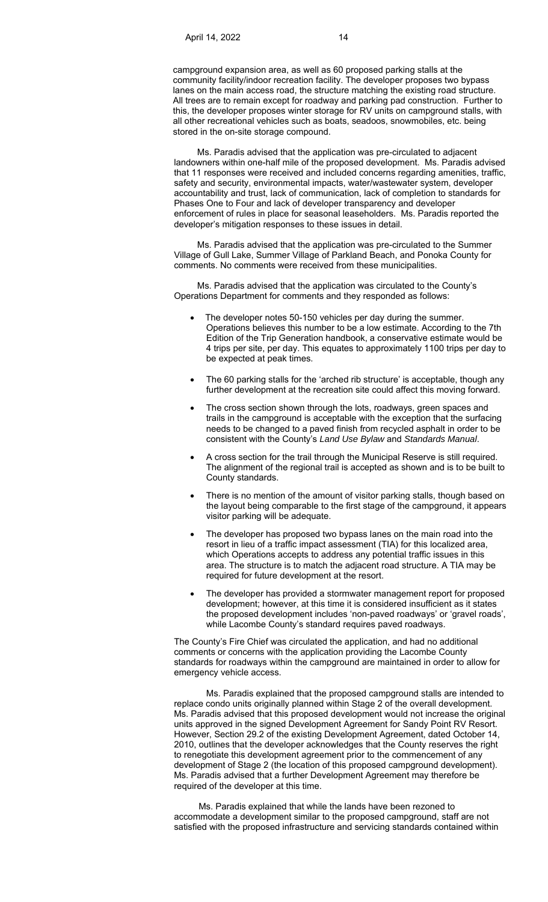campground expansion area, as well as 60 proposed parking stalls at the community facility/indoor recreation facility. The developer proposes two bypass lanes on the main access road, the structure matching the existing road structure. All trees are to remain except for roadway and parking pad construction. Further to this, the developer proposes winter storage for RV units on campground stalls, with all other recreational vehicles such as boats, seadoos, snowmobiles, etc. being stored in the on-site storage compound.

 Ms. Paradis advised that the application was pre-circulated to adjacent landowners within one-half mile of the proposed development. Ms. Paradis advised that 11 responses were received and included concerns regarding amenities, traffic, safety and security, environmental impacts, water/wastewater system, developer accountability and trust, lack of communication, lack of completion to standards for Phases One to Four and lack of developer transparency and developer enforcement of rules in place for seasonal leaseholders. Ms. Paradis reported the developer's mitigation responses to these issues in detail.

 Ms. Paradis advised that the application was pre-circulated to the Summer Village of Gull Lake, Summer Village of Parkland Beach, and Ponoka County for comments. No comments were received from these municipalities.

 Ms. Paradis advised that the application was circulated to the County's Operations Department for comments and they responded as follows:

- The developer notes 50-150 vehicles per day during the summer. Operations believes this number to be a low estimate. According to the 7th Edition of the Trip Generation handbook, a conservative estimate would be 4 trips per site, per day. This equates to approximately 1100 trips per day to be expected at peak times.
- The 60 parking stalls for the 'arched rib structure' is acceptable, though any further development at the recreation site could affect this moving forward.
- The cross section shown through the lots, roadways, green spaces and trails in the campground is acceptable with the exception that the surfacing needs to be changed to a paved finish from recycled asphalt in order to be consistent with the County's *Land Use Bylaw* and *Standards Manual*.
- A cross section for the trail through the Municipal Reserve is still required. The alignment of the regional trail is accepted as shown and is to be built to County standards.
- There is no mention of the amount of visitor parking stalls, though based on the layout being comparable to the first stage of the campground, it appears visitor parking will be adequate.
- The developer has proposed two bypass lanes on the main road into the resort in lieu of a traffic impact assessment (TIA) for this localized area, which Operations accepts to address any potential traffic issues in this area. The structure is to match the adjacent road structure. A TIA may be required for future development at the resort.
- The developer has provided a stormwater management report for proposed development; however, at this time it is considered insufficient as it states the proposed development includes 'non-paved roadways' or 'gravel roads', while Lacombe County's standard requires paved roadways.

The County's Fire Chief was circulated the application, and had no additional comments or concerns with the application providing the Lacombe County standards for roadways within the campground are maintained in order to allow for emergency vehicle access.

 Ms. Paradis explained that the proposed campground stalls are intended to replace condo units originally planned within Stage 2 of the overall development. Ms. Paradis advised that this proposed development would not increase the original units approved in the signed Development Agreement for Sandy Point RV Resort. However, Section 29.2 of the existing Development Agreement, dated October 14, 2010, outlines that the developer acknowledges that the County reserves the right to renegotiate this development agreement prior to the commencement of any development of Stage 2 (the location of this proposed campground development). Ms. Paradis advised that a further Development Agreement may therefore be required of the developer at this time.

 Ms. Paradis explained that while the lands have been rezoned to accommodate a development similar to the proposed campground, staff are not satisfied with the proposed infrastructure and servicing standards contained within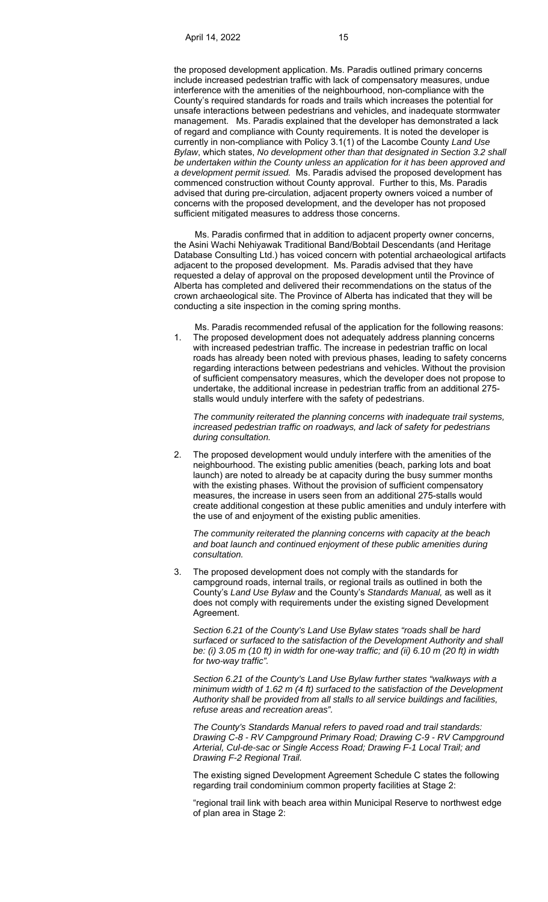the proposed development application. Ms. Paradis outlined primary concerns include increased pedestrian traffic with lack of compensatory measures, undue interference with the amenities of the neighbourhood, non-compliance with the County's required standards for roads and trails which increases the potential for unsafe interactions between pedestrians and vehicles, and inadequate stormwater management. Ms. Paradis explained that the developer has demonstrated a lack of regard and compliance with County requirements. It is noted the developer is currently in non-compliance with Policy 3.1(1) of the Lacombe County *Land Use Bylaw*, which states, *No development other than that designated in Section 3.2 shall be undertaken within the County unless an application for it has been approved and a development permit issued.* Ms. Paradis advised the proposed development has commenced construction without County approval. Further to this, Ms. Paradis advised that during pre-circulation, adjacent property owners voiced a number of concerns with the proposed development, and the developer has not proposed sufficient mitigated measures to address those concerns.

 Ms. Paradis confirmed that in addition to adjacent property owner concerns, the Asini Wachi Nehiyawak Traditional Band/Bobtail Descendants (and Heritage Database Consulting Ltd.) has voiced concern with potential archaeological artifacts adjacent to the proposed development. Ms. Paradis advised that they have requested a delay of approval on the proposed development until the Province of Alberta has completed and delivered their recommendations on the status of the crown archaeological site. The Province of Alberta has indicated that they will be conducting a site inspection in the coming spring months.

 Ms. Paradis recommended refusal of the application for the following reasons: 1. The proposed development does not adequately address planning concerns with increased pedestrian traffic. The increase in pedestrian traffic on local roads has already been noted with previous phases, leading to safety concerns regarding interactions between pedestrians and vehicles. Without the provision of sufficient compensatory measures, which the developer does not propose to undertake, the additional increase in pedestrian traffic from an additional 275 stalls would unduly interfere with the safety of pedestrians.

*The community reiterated the planning concerns with inadequate trail systems, increased pedestrian traffic on roadways, and lack of safety for pedestrians during consultation.* 

2. The proposed development would unduly interfere with the amenities of the neighbourhood. The existing public amenities (beach, parking lots and boat launch) are noted to already be at capacity during the busy summer months with the existing phases. Without the provision of sufficient compensatory measures, the increase in users seen from an additional 275-stalls would create additional congestion at these public amenities and unduly interfere with the use of and enjoyment of the existing public amenities.

*The community reiterated the planning concerns with capacity at the beach and boat launch and continued enjoyment of these public amenities during consultation.* 

3. The proposed development does not comply with the standards for campground roads, internal trails, or regional trails as outlined in both the County's *Land Use Bylaw* and the County's *Standards Manual,* as well as it does not comply with requirements under the existing signed Development Agreement.

*Section 6.21 of the County's Land Use Bylaw states "roads shall be hard surfaced or surfaced to the satisfaction of the Development Authority and shall be: (i) 3.05 m (10 ft) in width for one-way traffic; and (ii) 6.10 m (20 ft) in width for two-way traffic".* 

*Section 6.21 of the County's Land Use Bylaw further states "walkways with a minimum width of 1.62 m (4 ft) surfaced to the satisfaction of the Development Authority shall be provided from all stalls to all service buildings and facilities, refuse areas and recreation areas".* 

*The County's Standards Manual refers to paved road and trail standards: Drawing C-8 - RV Campground Primary Road; Drawing C-9 - RV Campground Arterial, Cul-de-sac or Single Access Road; Drawing F-1 Local Trail; and Drawing F-2 Regional Trail.* 

 The existing signed Development Agreement Schedule C states the following regarding trail condominium common property facilities at Stage 2:

 "regional trail link with beach area within Municipal Reserve to northwest edge of plan area in Stage 2: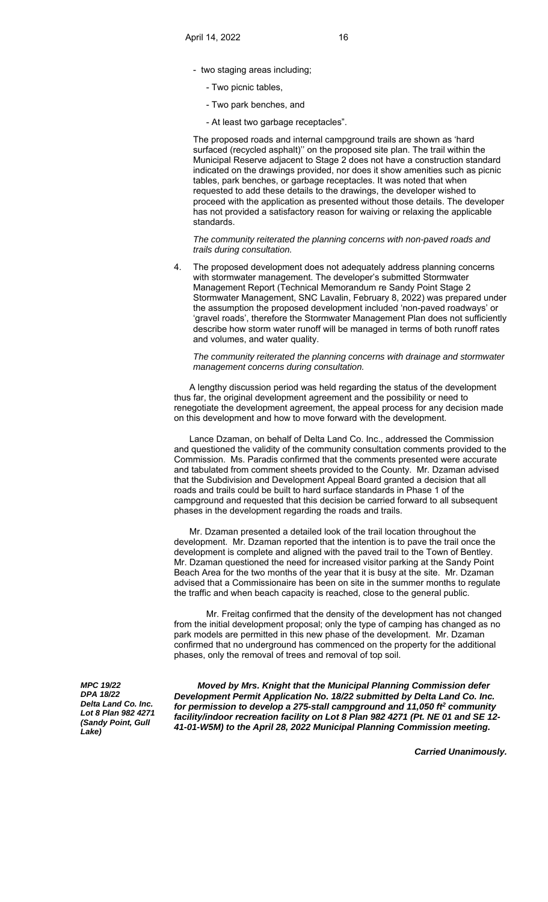- two staging areas including;
	- Two picnic tables,
	- Two park benches, and
	- At least two garbage receptacles".

 The proposed roads and internal campground trails are shown as 'hard surfaced (recycled asphalt)'' on the proposed site plan. The trail within the Municipal Reserve adjacent to Stage 2 does not have a construction standard indicated on the drawings provided, nor does it show amenities such as picnic tables, park benches, or garbage receptacles. It was noted that when requested to add these details to the drawings, the developer wished to proceed with the application as presented without those details. The developer has not provided a satisfactory reason for waiving or relaxing the applicable standards.

*The community reiterated the planning concerns with non-paved roads and trails during consultation.* 

4. The proposed development does not adequately address planning concerns with stormwater management. The developer's submitted Stormwater Management Report (Technical Memorandum re Sandy Point Stage 2 Stormwater Management, SNC Lavalin, February 8, 2022) was prepared under the assumption the proposed development included 'non-paved roadways' or 'gravel roads', therefore the Stormwater Management Plan does not sufficiently describe how storm water runoff will be managed in terms of both runoff rates and volumes, and water quality.

*The community reiterated the planning concerns with drainage and stormwater management concerns during consultation.*

 A lengthy discussion period was held regarding the status of the development thus far, the original development agreement and the possibility or need to renegotiate the development agreement, the appeal process for any decision made on this development and how to move forward with the development.

 Lance Dzaman, on behalf of Delta Land Co. Inc., addressed the Commission and questioned the validity of the community consultation comments provided to the Commission. Ms. Paradis confirmed that the comments presented were accurate and tabulated from comment sheets provided to the County. Mr. Dzaman advised that the Subdivision and Development Appeal Board granted a decision that all roads and trails could be built to hard surface standards in Phase 1 of the campground and requested that this decision be carried forward to all subsequent phases in the development regarding the roads and trails.

 Mr. Dzaman presented a detailed look of the trail location throughout the development. Mr. Dzaman reported that the intention is to pave the trail once the development is complete and aligned with the paved trail to the Town of Bentley. Mr. Dzaman questioned the need for increased visitor parking at the Sandy Point Beach Area for the two months of the year that it is busy at the site. Mr. Dzaman advised that a Commissionaire has been on site in the summer months to regulate the traffic and when beach capacity is reached, close to the general public.

 Mr. Freitag confirmed that the density of the development has not changed from the initial development proposal; only the type of camping has changed as no park models are permitted in this new phase of the development. Mr. Dzaman confirmed that no underground has commenced on the property for the additional phases, only the removal of trees and removal of top soil.

*MPC 19/22 DPA 18/22 Delta Land Co. Inc. Lot 8 Plan 982 4271 (Sandy Point, Gull Lake)*

 *Moved by Mrs. Knight that the Municipal Planning Commission defer Development Permit Application No. 18/22 submitted by Delta Land Co. Inc. for permission to develop a 275-stall campground and 11,050 ft2 community facility/indoor recreation facility on Lot 8 Plan 982 4271 (Pt. NE 01 and SE 12- 41-01-W5M) to the April 28, 2022 Municipal Planning Commission meeting.* 

*Carried Unanimously.*